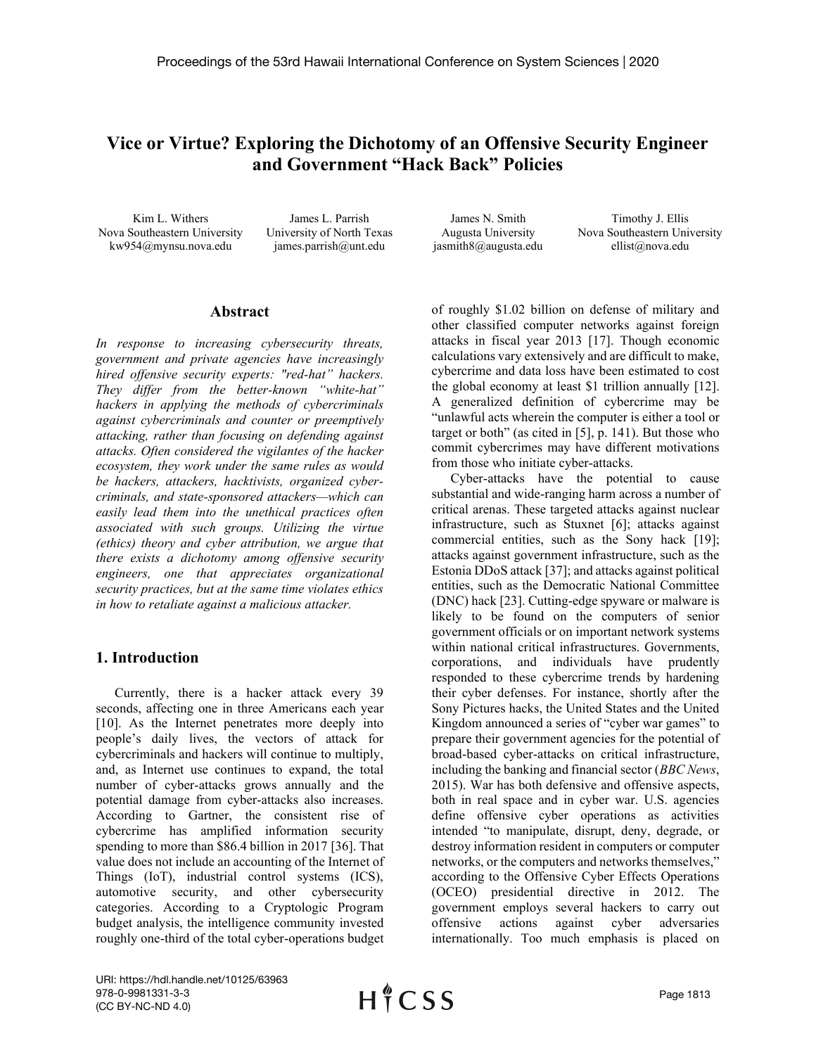# **Vice or Virtue? Exploring the Dichotomy of an Offensive Security Engineer and Government "Hack Back" Policies**

Kim L. Withers Nova Southeastern University kw954@mynsu.nova.edu

James L. Parrish University of North Texas james.parrish@unt.edu

James N. Smith Augusta University jasmith8@augusta.edu

Timothy J. Ellis Nova Southeastern University ellist@nova.edu

### **Abstract**

*In response to increasing cybersecurity threats, government and private agencies have increasingly hired offensive security experts: "red-hat" hackers. They differ from the better-known "white-hat" hackers in applying the methods of cybercriminals against cybercriminals and counter or preemptively attacking, rather than focusing on defending against attacks. Often considered the vigilantes of the hacker ecosystem, they work under the same rules as would be hackers, attackers, hacktivists, organized cybercriminals, and state-sponsored attackers—which can easily lead them into the unethical practices often associated with such groups. Utilizing the virtue (ethics) theory and cyber attribution, we argue that there exists a dichotomy among offensive security engineers, one that appreciates organizational security practices, but at the same time violates ethics in how to retaliate against a malicious attacker.*

### **1. Introduction**

Currently, there is a hacker attack every 39 seconds, affecting one in three Americans each year [10]. As the Internet penetrates more deeply into people's daily lives, the vectors of attack for cybercriminals and hackers will continue to multiply, and, as Internet use continues to expand, the total number of cyber-attacks grows annually and the potential damage from cyber-attacks also increases. According to Gartner, the consistent rise of cybercrime has amplified information security spending to more than \$86.4 billion in 2017 [36]. That value does not include an accounting of the Internet of Things (IoT), industrial control systems (ICS), automotive security, and other cybersecurity categories. According to a Cryptologic Program budget analysis, the intelligence community invested roughly one-third of the total cyber-operations budget

of roughly \$1.02 billion on defense of military and other classified computer networks against foreign attacks in fiscal year 2013 [17]. Though economic calculations vary extensively and are difficult to make, cybercrime and data loss have been estimated to cost the global economy at least \$1 trillion annually [12]. A generalized definition of cybercrime may be "unlawful acts wherein the computer is either a tool or target or both" (as cited in [5], p. 141). But those who commit cybercrimes may have different motivations from those who initiate cyber-attacks.

Cyber-attacks have the potential to cause substantial and wide-ranging harm across a number of critical arenas. These targeted attacks against nuclear infrastructure, such as Stuxnet [6]; attacks against commercial entities, such as the Sony hack [19]; attacks against government infrastructure, such as the Estonia DDoS attack [37]; and attacks against political entities, such as the Democratic National Committee (DNC) hack [23]. Cutting-edge spyware or malware is likely to be found on the computers of senior government officials or on important network systems within national critical infrastructures. Governments, corporations, and individuals have prudently responded to these cybercrime trends by hardening their cyber defenses. For instance, shortly after the Sony Pictures hacks, the United States and the United Kingdom announced a series of "cyber war games" to prepare their government agencies for the potential of broad-based cyber-attacks on critical infrastructure, including the banking and financial sector (*BBC News*, 2015). War has both defensive and offensive aspects, both in real space and in cyber war. U.S. agencies define offensive cyber operations as activities intended "to manipulate, disrupt, deny, degrade, or destroy information resident in computers or computer networks, or the computers and networks themselves," according to the Offensive Cyber Effects Operations (OCEO) presidential directive in 2012. The government employs several hackers to carry out offensive actions against cyber adversaries internationally. Too much emphasis is placed on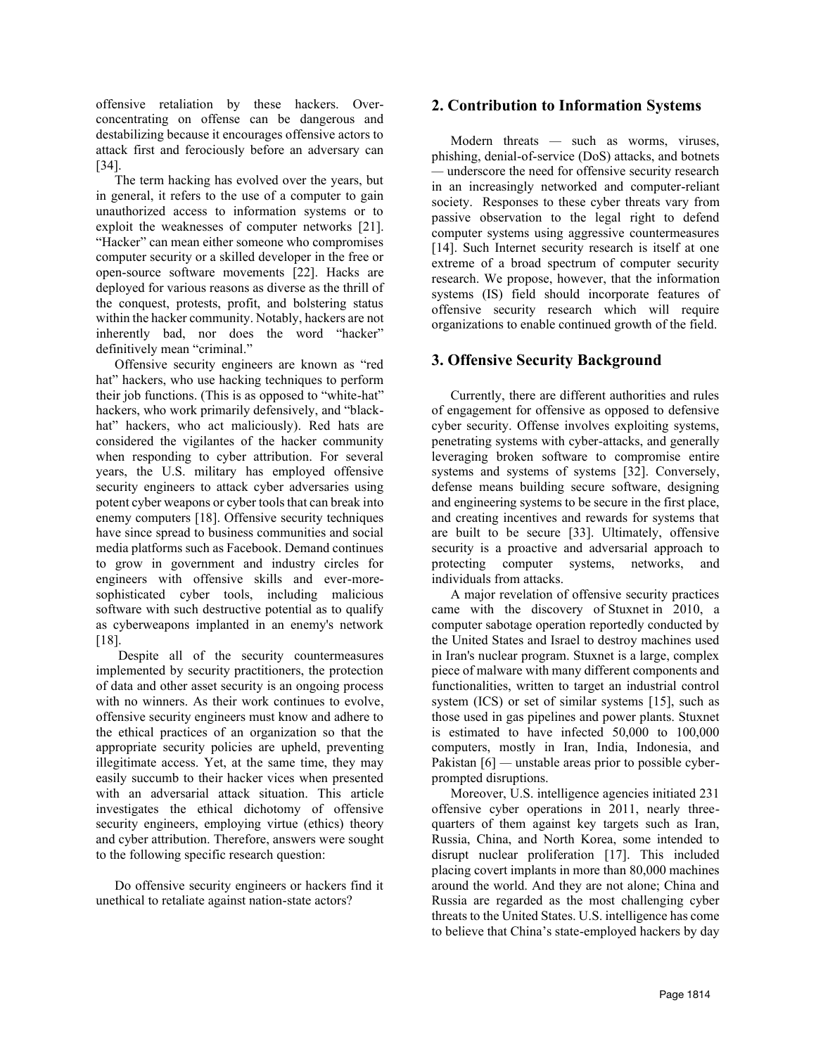offensive retaliation by these hackers. Overconcentrating on offense can be dangerous and destabilizing because it encourages offensive actors to attack first and ferociously before an adversary can [34].

The term hacking has evolved over the years, but in general, it refers to the use of a computer to gain unauthorized access to information systems or to exploit the weaknesses of computer networks [21]. "Hacker" can mean either someone who compromises computer security or a skilled developer in the free or open-source software movements [22]. Hacks are deployed for various reasons as diverse as the thrill of the conquest, protests, profit, and bolstering status within the hacker community. Notably, hackers are not inherently bad, nor does the word "hacker" definitively mean "criminal."

Offensive security engineers are known as "red hat" hackers, who use hacking techniques to perform their job functions. (This is as opposed to "white-hat" hackers, who work primarily defensively, and "blackhat" hackers, who act maliciously). Red hats are considered the vigilantes of the hacker community when responding to cyber attribution. For several years, the U.S. military has employed offensive security engineers to attack cyber adversaries using potent cyber weapons or cyber tools that can break into enemy computers [18]. Offensive security techniques have since spread to business communities and social media platforms such as Facebook. Demand continues to grow in government and industry circles for engineers with offensive skills and ever-moresophisticated cyber tools, including malicious software with such destructive potential as to qualify as cyberweapons implanted in an enemy's network [18].

Despite all of the security countermeasures implemented by security practitioners, the protection of data and other asset security is an ongoing process with no winners. As their work continues to evolve, offensive security engineers must know and adhere to the ethical practices of an organization so that the appropriate security policies are upheld, preventing illegitimate access. Yet, at the same time, they may easily succumb to their hacker vices when presented with an adversarial attack situation. This article investigates the ethical dichotomy of offensive security engineers, employing virtue (ethics) theory and cyber attribution. Therefore, answers were sought to the following specific research question:

Do offensive security engineers or hackers find it unethical to retaliate against nation-state actors?

### **2. Contribution to Information Systems**

Modern threats *—* such as worms, viruses, phishing, denial-of-service (DoS) attacks, and botnets *—* underscore the need for offensive security research in an increasingly networked and computer-reliant society. Responses to these cyber threats vary from passive observation to the legal right to defend computer systems using aggressive countermeasures [14]. Such Internet security research is itself at one extreme of a broad spectrum of computer security research. We propose, however, that the information systems (IS) field should incorporate features of offensive security research which will require organizations to enable continued growth of the field.

### **3. Offensive Security Background**

Currently, there are different authorities and rules of engagement for offensive as opposed to defensive cyber security. Offense involves exploiting systems, penetrating systems with cyber-attacks, and generally leveraging broken software to compromise entire systems and systems of systems [32]. Conversely, defense means building secure software, designing and engineering systems to be secure in the first place, and creating incentives and rewards for systems that are built to be secure [33]. Ultimately, offensive security is a proactive and adversarial approach to protecting computer systems, networks, and individuals from attacks.

A major revelation of offensive security practices came with the discovery of Stuxnet in 2010, a computer sabotage operation reportedly conducted by the United States and Israel to destroy machines used in Iran's nuclear program. Stuxnet is a large, complex piece of malware with many different components and functionalities, written to target an industrial control system (ICS) or set of similar systems [15], such as those used in gas pipelines and power plants. Stuxnet is estimated to have infected 50,000 to 100,000 computers, mostly in Iran, India, Indonesia, and Pakistan [6] — unstable areas prior to possible cyberprompted disruptions.

Moreover, U.S. intelligence agencies initiated 231 offensive cyber operations in 2011, nearly threequarters of them against key targets such as Iran, Russia, China, and North Korea, some intended to disrupt nuclear proliferation [17]. This included placing covert implants in more than 80,000 machines around the world. And they are not alone; China and Russia are regarded as the most challenging cyber threats to the United States. U.S. intelligence has come to believe that China's state-employed hackers by day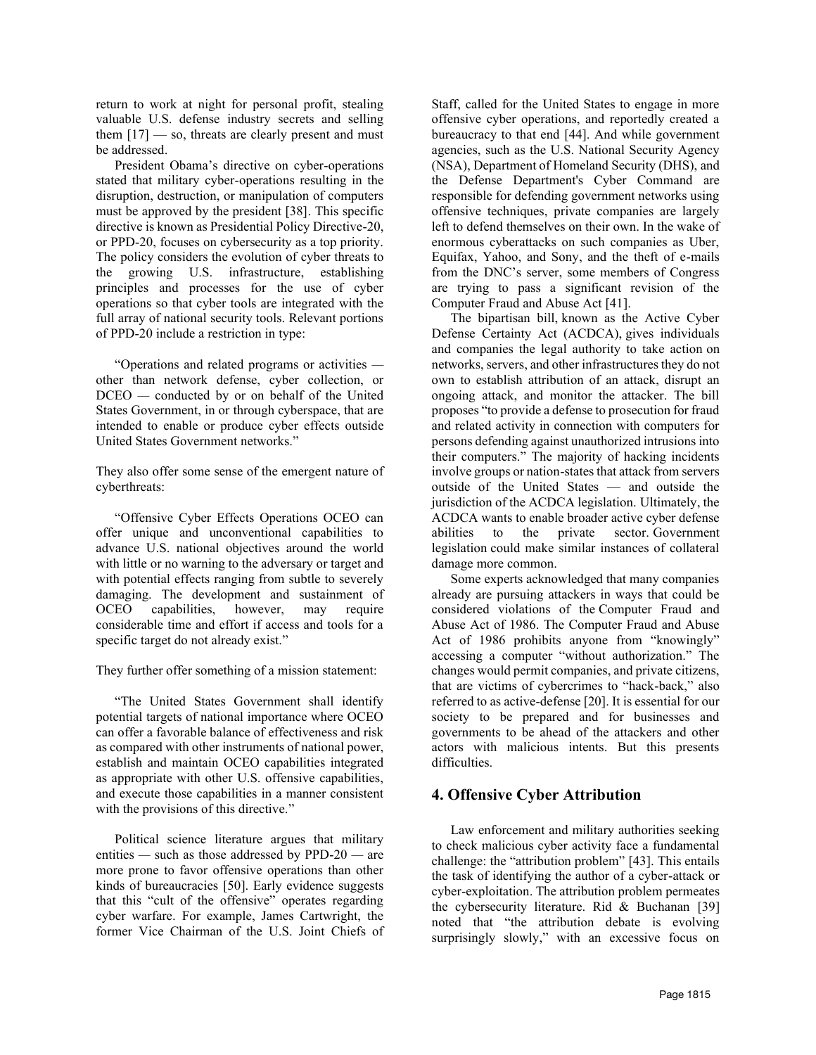return to work at night for personal profit, stealing valuable U.S. defense industry secrets and selling them  $[17]$  — so, threats are clearly present and must be addressed.

President Obama's directive on cyber-operations stated that military cyber-operations resulting in the disruption, destruction, or manipulation of computers must be approved by the president [38]. This specific directive is known as Presidential Policy Directive-20, or PPD-20, focuses on cybersecurity as a top priority. The policy considers the evolution of cyber threats to the growing U.S. infrastructure, establishing principles and processes for the use of cyber operations so that cyber tools are integrated with the full array of national security tools. Relevant portions of PPD-20 include a restriction in type:

"Operations and related programs or activities  other than network defense, cyber collection, or DCEO *—* conducted by or on behalf of the United States Government, in or through cyberspace, that are intended to enable or produce cyber effects outside United States Government networks."

They also offer some sense of the emergent nature of cyberthreats:

"Offensive Cyber Effects Operations OCEO can offer unique and unconventional capabilities to advance U.S. national objectives around the world with little or no warning to the adversary or target and with potential effects ranging from subtle to severely damaging. The development and sustainment of OCEO capabilities, however, may require considerable time and effort if access and tools for a specific target do not already exist."

They further offer something of a mission statement:

"The United States Government shall identify potential targets of national importance where OCEO can offer a favorable balance of effectiveness and risk as compared with other instruments of national power, establish and maintain OCEO capabilities integrated as appropriate with other U.S. offensive capabilities, and execute those capabilities in a manner consistent with the provisions of this directive."

Political science literature argues that military entities *—* such as those addressed by PPD-20 *—* are more prone to favor offensive operations than other kinds of bureaucracies [50]. Early evidence suggests that this "cult of the offensive" operates regarding cyber warfare. For example, James Cartwright, the former Vice Chairman of the U.S. Joint Chiefs of Staff, called for the United States to engage in more offensive cyber operations, and reportedly created a bureaucracy to that end [44]. And while government agencies, such as the U.S. National Security Agency (NSA), Department of Homeland Security (DHS), and the Defense Department's Cyber Command are responsible for defending government networks using offensive techniques, private companies are largely left to defend themselves on their own. In the wake of enormous cyberattacks on such companies as Uber, Equifax, Yahoo, and Sony, and the theft of e-mails from the DNC's server, some members of Congress are trying to pass a significant revision of the Computer Fraud and Abuse Act [41].

The bipartisan bill, known as the Active Cyber Defense Certainty Act (ACDCA), gives individuals and companies the legal authority to take action on networks, servers, and other infrastructures they do not own to establish attribution of an attack, disrupt an ongoing attack, and monitor the attacker. The bill proposes "to provide a defense to prosecution for fraud and related activity in connection with computers for persons defending against unauthorized intrusions into their computers." The majority of hacking incidents involve groups or nation-states that attack from servers outside of the United States — and outside the jurisdiction of the ACDCA legislation. Ultimately, the ACDCA wants to enable broader active cyber defense abilities to the private sector. Government legislation could make similar instances of collateral damage more common.

Some experts acknowledged that many companies already are pursuing attackers in ways that could be considered violations of the Computer Fraud and Abuse Act of 1986. The Computer Fraud and Abuse Act of 1986 prohibits anyone from "knowingly" accessing a computer "without authorization." The changes would permit companies, and private citizens, that are victims of cybercrimes to "hack-back," also referred to as active-defense [20]. It is essential for our society to be prepared and for businesses and governments to be ahead of the attackers and other actors with malicious intents. But this presents difficulties.

# **4. Offensive Cyber Attribution**

Law enforcement and military authorities seeking to check malicious cyber activity face a fundamental challenge: the "attribution problem" [43]. This entails the task of identifying the author of a cyber-attack or cyber-exploitation. The attribution problem permeates the cybersecurity literature. Rid & Buchanan [39] noted that "the attribution debate is evolving surprisingly slowly," with an excessive focus on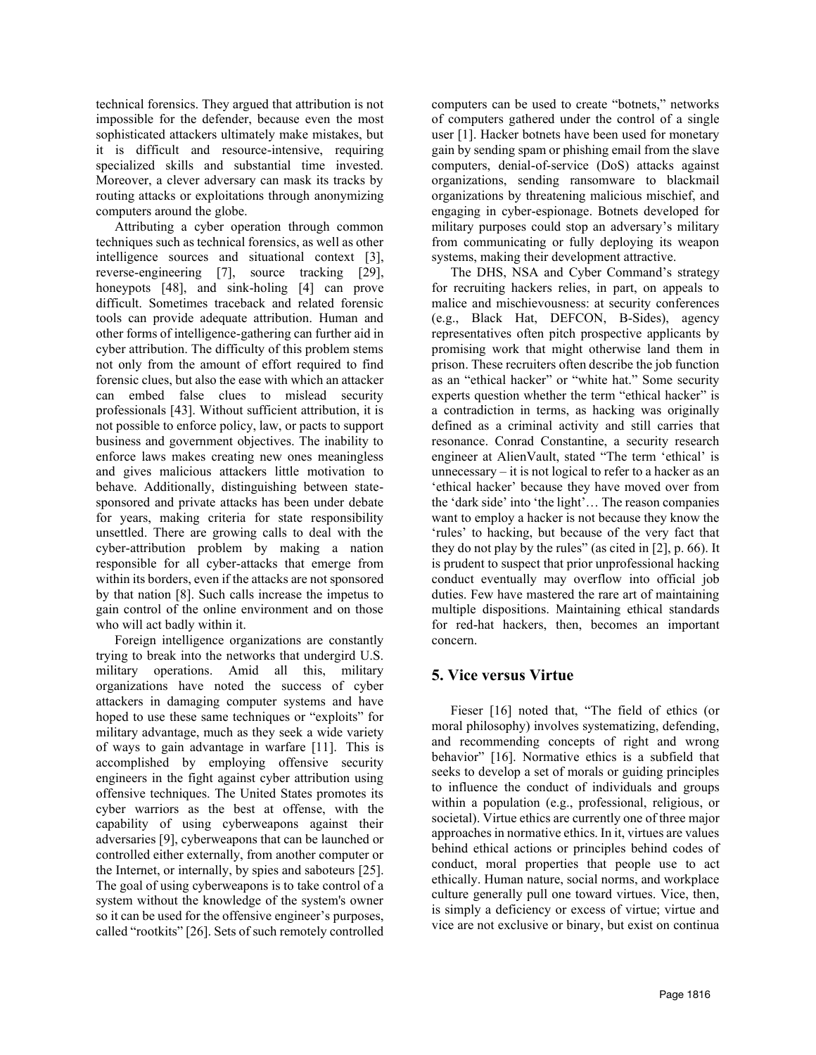technical forensics. They argued that attribution is not impossible for the defender, because even the most sophisticated attackers ultimately make mistakes, but it is difficult and resource-intensive, requiring specialized skills and substantial time invested. Moreover, a clever adversary can mask its tracks by routing attacks or exploitations through anonymizing computers around the globe.

Attributing a cyber operation through common techniques such as technical forensics, as well as other intelligence sources and situational context [3], reverse-engineering [7], source tracking [29], honeypots [48], and sink-holing [4] can prove difficult. Sometimes traceback and related forensic tools can provide adequate attribution. Human and other forms of intelligence-gathering can further aid in cyber attribution. The difficulty of this problem stems not only from the amount of effort required to find forensic clues, but also the ease with which an attacker can embed false clues to mislead security professionals [43]. Without sufficient attribution, it is not possible to enforce policy, law, or pacts to support business and government objectives. The inability to enforce laws makes creating new ones meaningless and gives malicious attackers little motivation to behave. Additionally, distinguishing between statesponsored and private attacks has been under debate for years, making criteria for state responsibility unsettled. There are growing calls to deal with the cyber-attribution problem by making a nation responsible for all cyber-attacks that emerge from within its borders, even if the attacks are not sponsored by that nation [8]. Such calls increase the impetus to gain control of the online environment and on those who will act badly within it.

Foreign intelligence organizations are constantly trying to break into the networks that undergird U.S. military operations. Amid all this, military organizations have noted the success of cyber attackers in damaging computer systems and have hoped to use these same techniques or "exploits" for military advantage, much as they seek a wide variety of ways to gain advantage in warfare [11]. This is accomplished by employing offensive security engineers in the fight against cyber attribution using offensive techniques. The United States promotes its cyber warriors as the best at offense, with the capability of using cyberweapons against their adversaries [9], cyberweapons that can be launched or controlled either externally, from another computer or the Internet, or internally, by spies and saboteurs [25]. The goal of using cyberweapons is to take control of a system without the knowledge of the system's owner so it can be used for the offensive engineer's purposes, called "rootkits" [26]. Sets of such remotely controlled computers can be used to create "botnets," networks of computers gathered under the control of a single user [1]. Hacker botnets have been used for monetary gain by sending spam or phishing email from the slave computers, denial-of-service (DoS) attacks against organizations, sending ransomware to blackmail organizations by threatening malicious mischief, and engaging in cyber-espionage. Botnets developed for military purposes could stop an adversary's military from communicating or fully deploying its weapon systems, making their development attractive.

The DHS, NSA and Cyber Command's strategy for recruiting hackers relies, in part, on appeals to malice and mischievousness: at security conferences (e.g., Black Hat, DEFCON, B-Sides), agency representatives often pitch prospective applicants by promising work that might otherwise land them in prison. These recruiters often describe the job function as an "ethical hacker" or "white hat." Some security experts question whether the term "ethical hacker" is a contradiction in terms, as hacking was originally defined as a criminal activity and still carries that resonance. Conrad Constantine, a security research engineer at AlienVault, stated "The term 'ethical' is unnecessary – it is not logical to refer to a hacker as an 'ethical hacker' because they have moved over from the 'dark side' into 'the light'… The reason companies want to employ a hacker is not because they know the 'rules' to hacking, but because of the very fact that they do not play by the rules" (as cited in [2], p. 66). It is prudent to suspect that prior unprofessional hacking conduct eventually may overflow into official job duties. Few have mastered the rare art of maintaining multiple dispositions. Maintaining ethical standards for red-hat hackers, then, becomes an important concern.

# **5. Vice versus Virtue**

Fieser [16] noted that, "The field of ethics (or moral philosophy) involves systematizing, defending, and recommending concepts of right and wrong behavior" [16]. Normative ethics is a subfield that seeks to develop a set of morals or guiding principles to influence the conduct of individuals and groups within a population (e.g., professional, religious, or societal). Virtue ethics are currently one of three major approaches in normative ethics. In it, virtues are values behind ethical actions or principles behind codes of conduct, moral properties that people use to act ethically. Human nature, social norms, and workplace culture generally pull one toward virtues. Vice, then, is simply a deficiency or excess of virtue; virtue and vice are not exclusive or binary, but exist on continua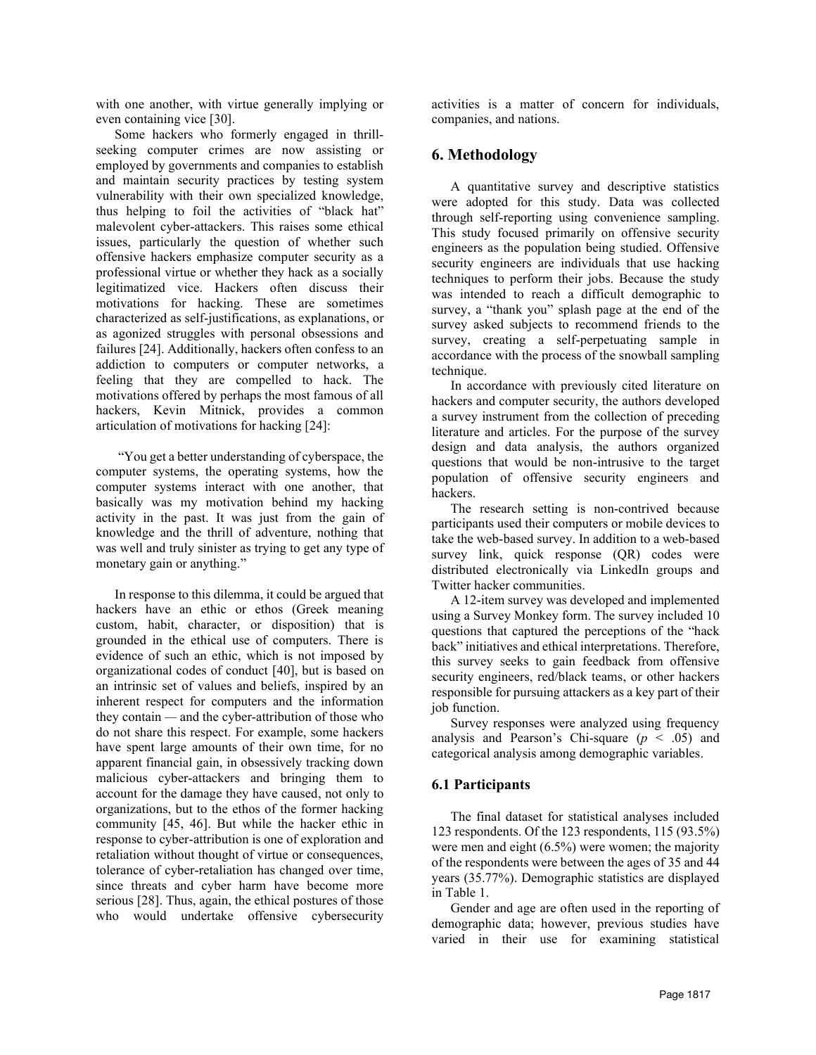with one another, with virtue generally implying or even containing vice [30].

Some hackers who formerly engaged in thrillseeking computer crimes are now assisting or employed by governments and companies to establish and maintain security practices by testing system vulnerability with their own specialized knowledge, thus helping to foil the activities of "black hat" malevolent cyber-attackers. This raises some ethical issues, particularly the question of whether such offensive hackers emphasize computer security as a professional virtue or whether they hack as a socially legitimatized vice. Hackers often discuss their motivations for hacking. These are sometimes characterized as self-justifications, as explanations, or as agonized struggles with personal obsessions and failures [24]. Additionally, hackers often confess to an addiction to computers or computer networks, a feeling that they are compelled to hack. The motivations offered by perhaps the most famous of all hackers, Kevin Mitnick, provides a common articulation of motivations for hacking [24]:

"You get a better understanding of cyberspace, the computer systems, the operating systems, how the computer systems interact with one another, that basically was my motivation behind my hacking activity in the past. It was just from the gain of knowledge and the thrill of adventure, nothing that was well and truly sinister as trying to get any type of monetary gain or anything."

In response to this dilemma, it could be argued that hackers have an ethic or ethos (Greek meaning custom, habit, character, or disposition) that is grounded in the ethical use of computers. There is evidence of such an ethic, which is not imposed by organizational codes of conduct [40], but is based on an intrinsic set of values and beliefs, inspired by an inherent respect for computers and the information they contain *—* and the cyber-attribution of those who do not share this respect. For example, some hackers have spent large amounts of their own time, for no apparent financial gain, in obsessively tracking down malicious cyber-attackers and bringing them to account for the damage they have caused, not only to organizations, but to the ethos of the former hacking community [45, 46]. But while the hacker ethic in response to cyber-attribution is one of exploration and retaliation without thought of virtue or consequences, tolerance of cyber-retaliation has changed over time, since threats and cyber harm have become more serious [28]. Thus, again, the ethical postures of those who would undertake offensive cybersecurity

activities is a matter of concern for individuals, companies, and nations.

# **6. Methodology**

A quantitative survey and descriptive statistics were adopted for this study. Data was collected through self-reporting using convenience sampling. This study focused primarily on offensive security engineers as the population being studied. Offensive security engineers are individuals that use hacking techniques to perform their jobs. Because the study was intended to reach a difficult demographic to survey, a "thank you" splash page at the end of the survey asked subjects to recommend friends to the survey, creating a self-perpetuating sample in accordance with the process of the snowball sampling technique.

In accordance with previously cited literature on hackers and computer security, the authors developed a survey instrument from the collection of preceding literature and articles. For the purpose of the survey design and data analysis, the authors organized questions that would be non-intrusive to the target population of offensive security engineers and hackers.

The research setting is non-contrived because participants used their computers or mobile devices to take the web-based survey. In addition to a web-based survey link, quick response (QR) codes were distributed electronically via LinkedIn groups and Twitter hacker communities.

A 12-item survey was developed and implemented using a Survey Monkey form. The survey included 10 questions that captured the perceptions of the "hack back" initiatives and ethical interpretations. Therefore, this survey seeks to gain feedback from offensive security engineers, red/black teams, or other hackers responsible for pursuing attackers as a key part of their job function.

Survey responses were analyzed using frequency analysis and Pearson's Chi-square  $(p < .05)$  and categorical analysis among demographic variables.

# **6.1 Participants**

The final dataset for statistical analyses included 123 respondents. Of the 123 respondents, 115 (93.5%) were men and eight (6.5%) were women; the majority of the respondents were between the ages of 35 and 44 years (35.77%). Demographic statistics are displayed in Table 1.

Gender and age are often used in the reporting of demographic data; however, previous studies have varied in their use for examining statistical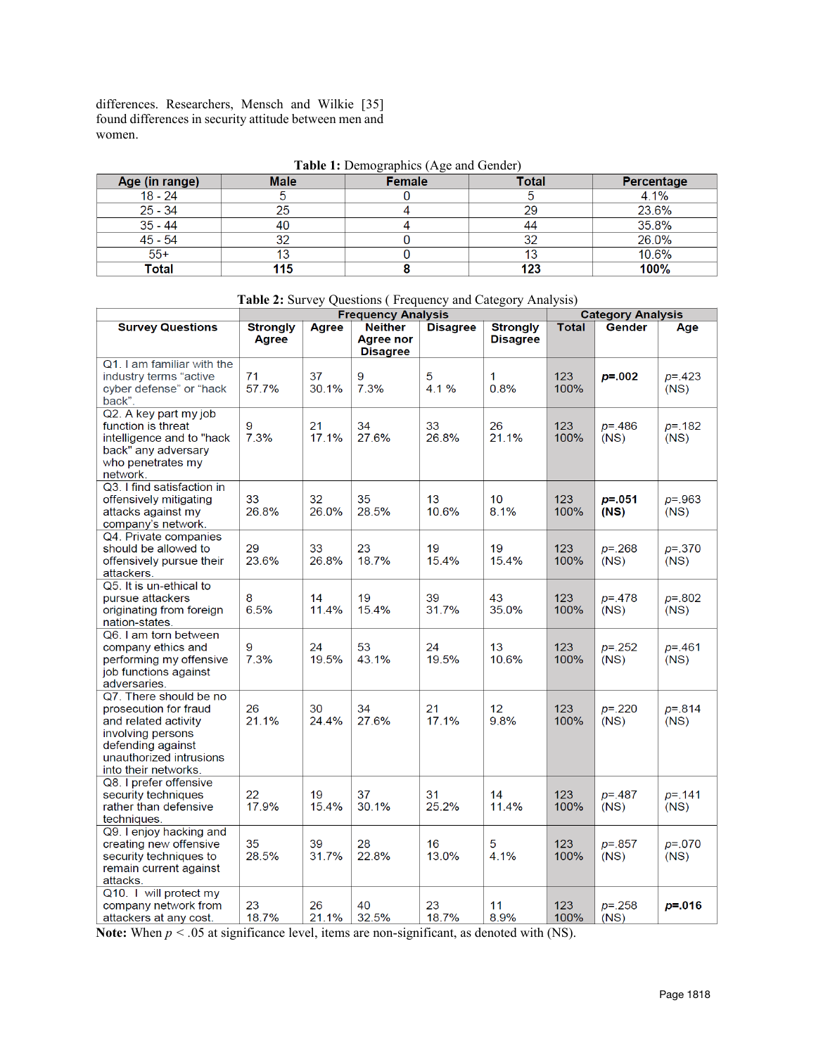differences. Researchers, Mensch and Wilkie [35] found differences in security attitude between men and women.

|  | Table 1: Demographics (Age and Gender) |  |
|--|----------------------------------------|--|
|  |                                        |  |

| Age (in range) | <b>Male</b> | Female | <b>Total</b> | <b>Percentage</b> |
|----------------|-------------|--------|--------------|-------------------|
| $18 - 24$      |             |        |              | 4.1%              |
| $25 - 34$      | 25          |        | 29           | 23.6%             |
| $35 - 44$      | 40          |        | 44           | 35.8%             |
| $45 - 54$      | 32          |        | 32           | 26.0%             |
| $55+$          | 13          |        | 13           | 10.6%             |
| Total          | 115         |        | 123          | 100%              |

**Table 2:** Survey Questions ( Frequency and Category Analysis)

|                                                                                                                                                                      | <b>Frequency Analysis</b> |             |                                                | <b>Category Analysis</b> |                                    |             |                     |                     |
|----------------------------------------------------------------------------------------------------------------------------------------------------------------------|---------------------------|-------------|------------------------------------------------|--------------------------|------------------------------------|-------------|---------------------|---------------------|
| <b>Survey Questions</b>                                                                                                                                              | <b>Strongly</b><br>Agree  | Agree       | <b>Neither</b><br>Agree nor<br><b>Disagree</b> | <b>Disagree</b>          | <b>Strongly</b><br><b>Disagree</b> | Total       | <b>Gender</b>       | Age                 |
| Q1. I am familiar with the<br>industry terms "active<br>cyber defense" or "hack<br>back".                                                                            | 71<br>57.7%               | 37<br>30.1% | 9<br>7.3%                                      | 5<br>4.1%                | 1<br>0.8%                          | 123<br>100% | $p = 0.002$         | $p = 423$<br>(NS)   |
| Q2. A key part my job<br>function is threat<br>intelligence and to "hack<br>back" any adversary<br>who penetrates my<br>network.                                     | 9<br>7.3%                 | 21<br>17.1% | 34<br>27.6%                                    | 33<br>26.8%              | 26<br>21.1%                        | 123<br>100% | $p = 486$<br>(NS)   | $p = 182$<br>(NS)   |
| Q3. I find satisfaction in<br>offensively mitigating<br>attacks against my<br>company's network.                                                                     | 33<br>26.8%               | 32<br>26.0% | 35<br>28.5%                                    | 13<br>10.6%              | 10<br>8.1%                         | 123<br>100% | $p = 0.051$<br>(NS) | $p = 0.963$<br>(NS) |
| Q4. Private companies<br>should be allowed to<br>offensively pursue their<br>attackers.                                                                              | 29<br>23.6%               | 33<br>26.8% | 23<br>18.7%                                    | 19<br>15.4%              | 19<br>15.4%                        | 123<br>100% | $p = 268$<br>(NS)   | $p = 370$<br>(NS)   |
| Q5. It is un-ethical to<br>pursue attackers<br>originating from foreign<br>nation-states.                                                                            | 8<br>6.5%                 | 14<br>11.4% | 19<br>15.4%                                    | 39<br>31.7%              | 43<br>35.0%                        | 123<br>100% | $p = 0.478$<br>(NS) | $p = 802$<br>(NS)   |
| Q6. I am torn between<br>company ethics and<br>performing my offensive<br>job functions against<br>adversaries.                                                      | 9<br>7.3%                 | 24<br>19.5% | 53<br>43.1%                                    | 24<br>19.5%              | 13<br>10.6%                        | 123<br>100% | $p = 252$<br>(NS)   | $p = 461$<br>(NS)   |
| Q7. There should be no<br>prosecution for fraud<br>and related activity<br>involving persons<br>defending against<br>unauthorized intrusions<br>into their networks. | 26<br>21.1%               | 30<br>24.4% | 34<br>27.6%                                    | 21<br>17.1%              | 12<br>9.8%                         | 123<br>100% | $p = 220$<br>(NS)   | $p = 814$<br>(NS)   |
| Q8. I prefer offensive<br>security techniques<br>rather than defensive<br>techniques.                                                                                | 22<br>17.9%               | 19<br>15.4% | 37<br>30.1%                                    | 31<br>25.2%              | 14<br>11.4%                        | 123<br>100% | $p = 487$<br>(NS)   | $p = 141$<br>(NS)   |
| Q9. I enjoy hacking and<br>creating new offensive<br>security techniques to<br>remain current against<br>attacks.                                                    | 35<br>28.5%               | 39<br>31.7% | 28<br>22.8%                                    | 16<br>13.0%              | 5<br>4.1%                          | 123<br>100% | $p = 0.857$<br>(NS) | $p = 070$<br>(NS)   |
| Q10. I will protect my<br>company network from<br>attackers at any cost.                                                                                             | 23<br>18.7%               | 26<br>21.1% | 40<br>32.5%                                    | 23<br>18.7%              | 11<br>8.9%                         | 123<br>100% | $p = 258$<br>(NS)   | $p = 0.016$         |

**Note:** When  $p < .05$  at significance level, items are non-significant, as denoted with (NS).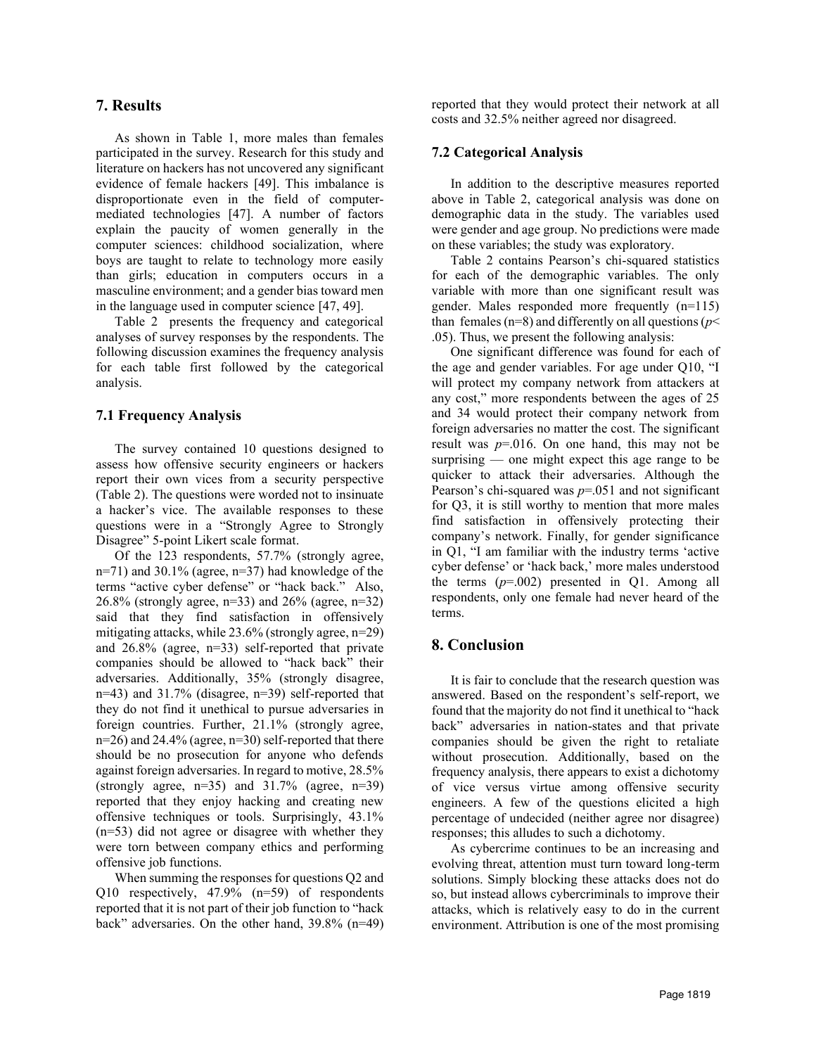### **7. Results**

As shown in Table 1, more males than females participated in the survey. Research for this study and literature on hackers has not uncovered any significant evidence of female hackers [49]. This imbalance is disproportionate even in the field of computermediated technologies [47]. A number of factors explain the paucity of women generally in the computer sciences: childhood socialization, where boys are taught to relate to technology more easily than girls; education in computers occurs in a masculine environment; and a gender bias toward men in the language used in computer science [47, 49].

Table 2 presents the frequency and categorical analyses of survey responses by the respondents. The following discussion examines the frequency analysis for each table first followed by the categorical analysis.

#### **7.1 Frequency Analysis**

The survey contained 10 questions designed to assess how offensive security engineers or hackers report their own vices from a security perspective (Table 2). The questions were worded not to insinuate a hacker's vice. The available responses to these questions were in a "Strongly Agree to Strongly Disagree" 5-point Likert scale format.

Of the 123 respondents, 57.7% (strongly agree, n=71) and 30.1% (agree, n=37) had knowledge of the terms "active cyber defense" or "hack back." Also, 26.8% (strongly agree, n=33) and 26% (agree, n=32) said that they find satisfaction in offensively mitigating attacks, while 23.6% (strongly agree, n=29) and 26.8% (agree, n=33) self-reported that private companies should be allowed to "hack back" their adversaries. Additionally, 35% (strongly disagree, n=43) and 31.7% (disagree, n=39) self-reported that they do not find it unethical to pursue adversaries in foreign countries. Further, 21.1% (strongly agree, n=26) and 24.4% (agree, n=30) self-reported that there should be no prosecution for anyone who defends against foreign adversaries. In regard to motive, 28.5% (strongly agree,  $n=35$ ) and  $31.7\%$  (agree,  $n=39$ ) reported that they enjoy hacking and creating new offensive techniques or tools. Surprisingly, 43.1% (n=53) did not agree or disagree with whether they were torn between company ethics and performing offensive job functions.

When summing the responses for questions Q2 and Q10 respectively, 47.9% (n=59) of respondents reported that it is not part of their job function to "hack back" adversaries. On the other hand, 39.8% (n=49) reported that they would protect their network at all costs and 32.5% neither agreed nor disagreed.

#### **7.2 Categorical Analysis**

In addition to the descriptive measures reported above in Table 2, categorical analysis was done on demographic data in the study. The variables used were gender and age group. No predictions were made on these variables; the study was exploratory.

Table 2 contains Pearson's chi-squared statistics for each of the demographic variables. The only variable with more than one significant result was gender. Males responded more frequently (n=115) than females ( $n=8$ ) and differently on all questions ( $p<$ .05). Thus, we present the following analysis:

One significant difference was found for each of the age and gender variables. For age under Q10, "I will protect my company network from attackers at any cost," more respondents between the ages of 25 and 34 would protect their company network from foreign adversaries no matter the cost. The significant result was  $p=0.016$ . On one hand, this may not be surprising — one might expect this age range to be quicker to attack their adversaries. Although the Pearson's chi-squared was *p*=.051 and not significant for Q3, it is still worthy to mention that more males find satisfaction in offensively protecting their company's network. Finally, for gender significance in Q1, "I am familiar with the industry terms 'active cyber defense' or 'hack back,' more males understood the terms  $(p=.002)$  presented in Q1. Among all respondents, only one female had never heard of the terms.

### **8. Conclusion**

It is fair to conclude that the research question was answered. Based on the respondent's self-report, we found that the majority do not find it unethical to "hack back" adversaries in nation-states and that private companies should be given the right to retaliate without prosecution. Additionally, based on the frequency analysis, there appears to exist a dichotomy of vice versus virtue among offensive security engineers. A few of the questions elicited a high percentage of undecided (neither agree nor disagree) responses; this alludes to such a dichotomy.

As cybercrime continues to be an increasing and evolving threat, attention must turn toward long-term solutions. Simply blocking these attacks does not do so, but instead allows cybercriminals to improve their attacks, which is relatively easy to do in the current environment. Attribution is one of the most promising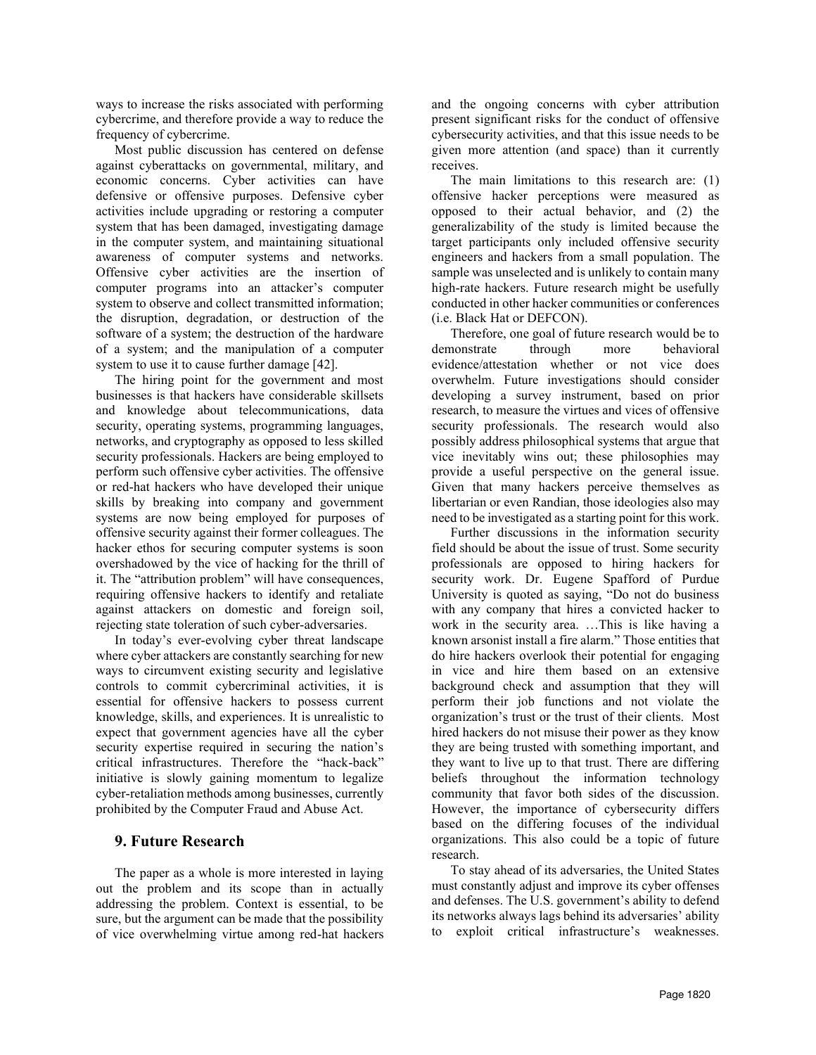ways to increase the risks associated with performing cybercrime, and therefore provide a way to reduce the frequency of cybercrime.

Most public discussion has centered on defense against cyberattacks on governmental, military, and economic concerns. Cyber activities can have defensive or offensive purposes. Defensive cyber activities include upgrading or restoring a computer system that has been damaged, investigating damage in the computer system, and maintaining situational awareness of computer systems and networks. Offensive cyber activities are the insertion of computer programs into an attacker's computer system to observe and collect transmitted information; the disruption, degradation, or destruction of the software of a system; the destruction of the hardware of a system; and the manipulation of a computer system to use it to cause further damage [42].

The hiring point for the government and most businesses is that hackers have considerable skillsets and knowledge about telecommunications, data security, operating systems, programming languages, networks, and cryptography as opposed to less skilled security professionals. Hackers are being employed to perform such offensive cyber activities. The offensive or red-hat hackers who have developed their unique skills by breaking into company and government systems are now being employed for purposes of offensive security against their former colleagues. The hacker ethos for securing computer systems is soon overshadowed by the vice of hacking for the thrill of it. The "attribution problem" will have consequences, requiring offensive hackers to identify and retaliate against attackers on domestic and foreign soil, rejecting state toleration of such cyber-adversaries.

In today's ever-evolving cyber threat landscape where cyber attackers are constantly searching for new ways to circumvent existing security and legislative controls to commit cybercriminal activities, it is essential for offensive hackers to possess current knowledge, skills, and experiences. It is unrealistic to expect that government agencies have all the cyber security expertise required in securing the nation's critical infrastructures. Therefore the "hack-back" initiative is slowly gaining momentum to legalize cyber-retaliation methods among businesses, currently prohibited by the Computer Fraud and Abuse Act.

### **9. Future Research**

The paper as a whole is more interested in laying out the problem and its scope than in actually addressing the problem. Context is essential, to be sure, but the argument can be made that the possibility of vice overwhelming virtue among red-hat hackers and the ongoing concerns with cyber attribution present significant risks for the conduct of offensive cybersecurity activities, and that this issue needs to be given more attention (and space) than it currently receives.

The main limitations to this research are: (1) offensive hacker perceptions were measured as opposed to their actual behavior, and (2) the generalizability of the study is limited because the target participants only included offensive security engineers and hackers from a small population. The sample was unselected and is unlikely to contain many high-rate hackers. Future research might be usefully conducted in other hacker communities or conferences (i.e. Black Hat or DEFCON).

Therefore, one goal of future research would be to demonstrate through more behavioral evidence/attestation whether or not vice does overwhelm. Future investigations should consider developing a survey instrument, based on prior research, to measure the virtues and vices of offensive security professionals. The research would also possibly address philosophical systems that argue that vice inevitably wins out; these philosophies may provide a useful perspective on the general issue. Given that many hackers perceive themselves as libertarian or even Randian, those ideologies also may need to be investigated as a starting point for this work.

Further discussions in the information security field should be about the issue of trust. Some security professionals are opposed to hiring hackers for security work. Dr. Eugene Spafford of Purdue University is quoted as saying, "Do not do business with any company that hires a convicted hacker to work in the security area. …This is like having a known arsonist install a fire alarm." Those entities that do hire hackers overlook their potential for engaging in vice and hire them based on an extensive background check and assumption that they will perform their job functions and not violate the organization's trust or the trust of their clients. Most hired hackers do not misuse their power as they know they are being trusted with something important, and they want to live up to that trust. There are differing beliefs throughout the information technology community that favor both sides of the discussion. However, the importance of cybersecurity differs based on the differing focuses of the individual organizations. This also could be a topic of future research.

To stay ahead of its adversaries, the United States must constantly adjust and improve its cyber offenses and defenses. The U.S. government's ability to defend its networks always lags behind its adversaries' ability to exploit critical infrastructure's weaknesses.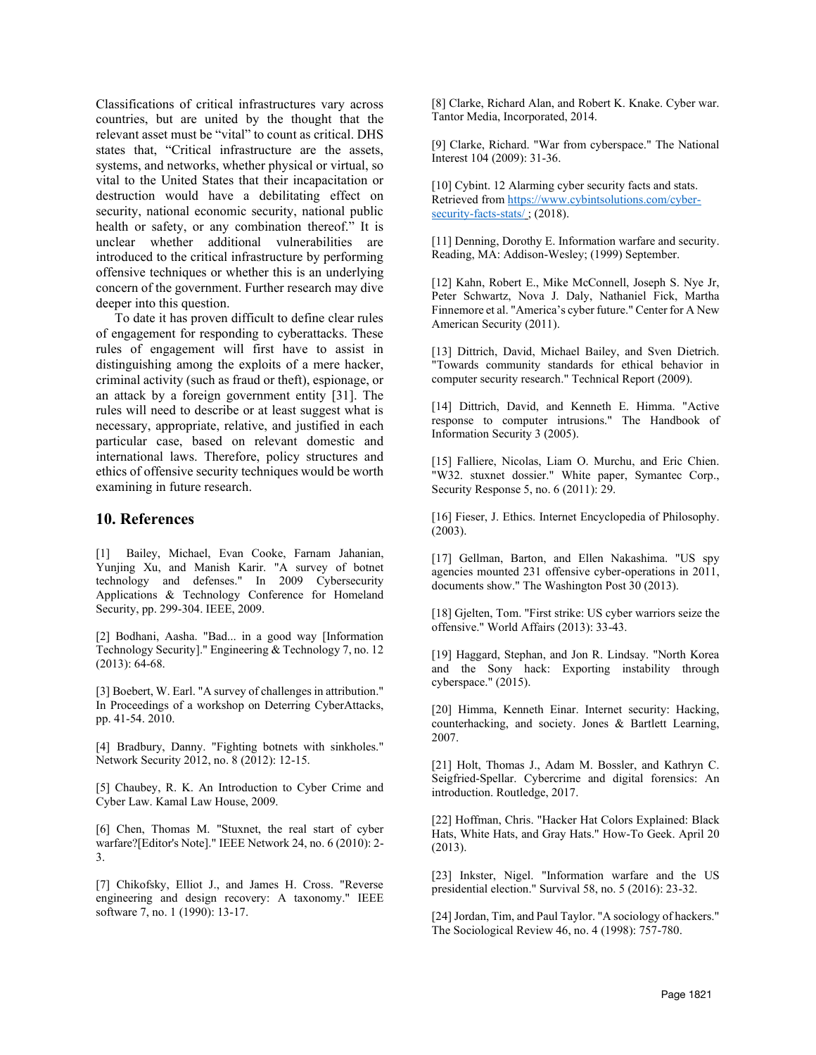Classifications of critical infrastructures vary across countries, but are united by the thought that the relevant asset must be "vital" to count as critical. DHS states that, "Critical infrastructure are the assets, systems, and networks, whether physical or virtual, so vital to the United States that their incapacitation or destruction would have a debilitating effect on security, national economic security, national public health or safety, or any combination thereof." It is unclear whether additional vulnerabilities are introduced to the critical infrastructure by performing offensive techniques or whether this is an underlying concern of the government. Further research may dive deeper into this question.

To date it has proven difficult to define clear rules of engagement for responding to cyberattacks. These rules of engagement will first have to assist in distinguishing among the exploits of a mere hacker, criminal activity (such as fraud or theft), espionage, or an attack by a foreign government entity [31]. The rules will need to describe or at least suggest what is necessary, appropriate, relative, and justified in each particular case, based on relevant domestic and international laws. Therefore, policy structures and ethics of offensive security techniques would be worth examining in future research.

#### **10. References**

[1] Bailey, Michael, Evan Cooke, Farnam Jahanian, Yunjing Xu, and Manish Karir. "A survey of botnet technology and defenses." In 2009 Cybersecurity Applications & Technology Conference for Homeland Security, pp. 299-304. IEEE, 2009.

[2] Bodhani, Aasha. "Bad... in a good way [Information Technology Security]." Engineering & Technology 7, no. 12 (2013): 64-68.

[3] Boebert, W. Earl. "A survey of challenges in attribution." In Proceedings of a workshop on Deterring CyberAttacks, pp. 41-54. 2010.

[4] Bradbury, Danny. "Fighting botnets with sinkholes." Network Security 2012, no. 8 (2012): 12-15.

[5] Chaubey, R. K. An Introduction to Cyber Crime and Cyber Law. Kamal Law House, 2009.

[6] Chen, Thomas M. "Stuxnet, the real start of cyber warfare?[Editor's Note]." IEEE Network 24, no. 6 (2010): 2- 3.

[7] Chikofsky, Elliot J., and James H. Cross. "Reverse engineering and design recovery: A taxonomy." IEEE software 7, no. 1 (1990): 13-17.

[8] Clarke, Richard Alan, and Robert K. Knake. Cyber war. Tantor Media, Incorporated, 2014.

[9] Clarke, Richard. "War from cyberspace." The National Interest 104 (2009): 31-36.

[10] Cybint. 12 Alarming cyber security facts and stats. Retrieved from [https://www.cybintsolutions.com/cyber](https://www.cybintsolutions.com/cyber-security-facts-stats/)[security-facts-stats/](https://www.cybintsolutions.com/cyber-security-facts-stats/); (2018).

[11] Denning, Dorothy E. Information warfare and security. Reading, MA: Addison-Wesley; (1999) September.

[12] Kahn, Robert E., Mike McConnell, Joseph S. Nye Jr, Peter Schwartz, Nova J. Daly, Nathaniel Fick, Martha Finnemore et al. "America's cyber future." Center for A New American Security (2011).

[13] Dittrich, David, Michael Bailey, and Sven Dietrich. "Towards community standards for ethical behavior in computer security research." Technical Report (2009).

[14] Dittrich, David, and Kenneth E. Himma. "Active response to computer intrusions." The Handbook of Information Security 3 (2005).

[15] Falliere, Nicolas, Liam O. Murchu, and Eric Chien. "W32. stuxnet dossier." White paper, Symantec Corp., Security Response 5, no. 6 (2011): 29.

[16] Fieser, J. Ethics. Internet Encyclopedia of Philosophy. (2003).

[17] Gellman, Barton, and Ellen Nakashima. "US spy agencies mounted 231 offensive cyber-operations in 2011, documents show." The Washington Post 30 (2013).

[18] Gjelten, Tom. "First strike: US cyber warriors seize the offensive." World Affairs (2013): 33-43.

[19] Haggard, Stephan, and Jon R. Lindsay. "North Korea and the Sony hack: Exporting instability through cyberspace." (2015).

[20] Himma, Kenneth Einar. Internet security: Hacking, counterhacking, and society. Jones & Bartlett Learning, 2007.

[21] Holt, Thomas J., Adam M. Bossler, and Kathryn C. Seigfried-Spellar. Cybercrime and digital forensics: An introduction. Routledge, 2017.

[22] Hoffman, Chris. "Hacker Hat Colors Explained: Black Hats, White Hats, and Gray Hats." How-To Geek. April 20 (2013).

[23] Inkster, Nigel. "Information warfare and the US presidential election." Survival 58, no. 5 (2016): 23-32.

[24] Jordan, Tim, and Paul Taylor. "A sociology of hackers." The Sociological Review 46, no. 4 (1998): 757-780.